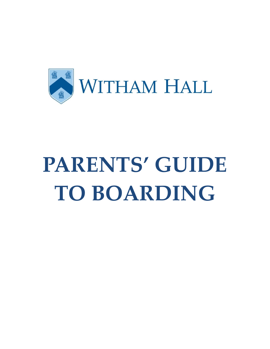

# **PARENTS' GUIDE TO BOARDING**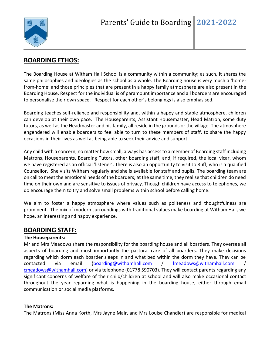

# **BOARDING ETHOS:**

The Boarding House at Witham Hall School is a community within a community; as such, it shares the same philosophies and ideologies as the school as a whole. The Boarding house is very much a 'homefrom-home' and those principles that are present in a happy family atmosphere are also present in the Boarding House. Respect for the individual is of paramount importance and all boarders are encouraged to personalise their own space. Respect for each other's belongings is also emphasised.

Boarding teaches self-reliance and responsibility and, within a happy and stable atmosphere, children can develop at their own pace. The Houseparents, Assistant Housemaster, Head Matron, some duty tutors, as well as the Headmaster and his family, all reside in the grounds or the village. The atmosphere engendered will enable boarders to feel able to turn to these members of staff, to share the happy occasions in their lives as well as being able to seek their advice and support.

Any child with a concern, no matter how small, always has access to a member of Boarding staff including Matrons, Houseparents, Boarding Tutors, other boarding staff, and, if required, the local vicar, whom we have registered as an official 'listener'. There is also an opportunity to visit Jo Ruff, who is a qualified Counsellor. She visits Witham regularly and she is available for staff and pupils. The boarding team are on call to meet the emotional needs of the boarders; at the same time, they realise that children do need time on their own and are sensitive to issues of privacy. Though children have access to telephones, we do encourage them to try and solve small problems within school before calling home.

We aim to foster a happy atmosphere where values such as politeness and thoughtfulness are prominent. The mix of modern surroundings with traditional values make boarding at Witham Hall, we hope, an interesting and happy experience.

## **BOARDING STAFF:**

#### **The Houseparents:**

Mr and Mrs Meadows share the responsibility for the boarding house and all boarders. They oversee all aspects of boarding and most importantly the pastoral care of all boarders. They make decisions regarding which dorm each boarder sleeps in and what bed within the dorm they have. They can be contacted via email [\(boarding@withamhall.com](mailto:boarding@withamhall.com) / [lmeadows@withamhall.com](mailto:lmeadows@withamhall.com) / [cmeadows@withamhall.com\)](mailto:cmeadows@withamhall.com) or via telephone (01778 590703). They will contact parents regarding any significant concerns of welfare of their child/children at school and will also make occasional contact throughout the year regarding what is happening in the boarding house, either through email communication or social media platforms.

#### **The Matrons:**

The Matrons (Miss Anna Korth, Mrs Jayne Mair, and Mrs Louise Chandler) are responsible for medical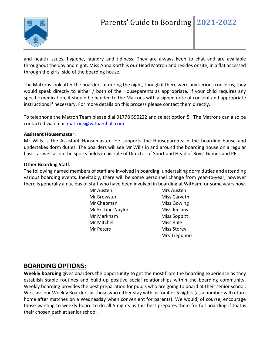

and health issues, hygiene, laundry and tidiness. They are always keen to chat and are available throughout the day and night. Miss Anna Korth is our Head Matron and resides onsite, in a flat accessed through the girls' side of the boarding house.

The Matrons look after the boarders at during the night, though if there were any serious concerns, they would speak directly to either / both of the Houseparents as appropriate. If your child requires any specific medication, it should be handed to the Matrons with a signed note of consent and appropriate instructions if necessary. For more details on this process please contact them directly.

To telephone the Matron Team please dial 01778 590222 and select option 5. The Matrons can also be contacted via email [matrons@withamhall.com.](mailto:matrons@withamhall.com)

#### **Assistant Housemaster:**

Mr Wills is the Assistant Housemaster. He supports the Houseparents in the boarding house and undertakes dorm duties. The boarders will see Mr Wills in and around the boarding house on a regular basis, as well as on the sports fields in his role of Director of Sport and Head of Boys' Games and PE.

#### **Other Boarding Staff:**

The following named members of staff are involved in boarding, undertaking dorm duties and attending various boarding events. Inevitably, there will be some personnel change from year-to-year, however there is generally a nucleus of staff who have been involved in boarding at Witham for some years now.

> Mr Austen Mr Brewster Mr Chapman Mr Erskine-Naylor Mr Markham Mr Mitchell Mr Peters

Mrs Austen Miss Carveth Miss Gowing Miss Jenkins Miss Soppitt Miss Rule Miss Storey Mrs Tregunno

#### **BOARDING OPTIONS:**

**Weekly boarding** gives boarders the opportunity to get the most from the boarding experience as they establish stable routines and build-up positive social relationships within the boarding community. Weekly boarding provides the best preparation for pupils who are going to board at their senior school. We class our Weekly Boarders as those who either stay with us for 4 or 5 nights (as a number will return home after matches on a Wednesday when convenient for parents). We would, of course, encourage those wanting to weekly board to do all 5 nights as this best prepares them for full boarding if that is their chosen path at senior school.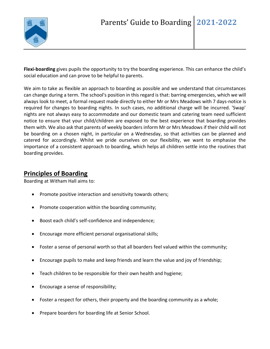

**Flexi-boarding** gives pupils the opportunity to try the boarding experience. This can enhance the child's social education and can prove to be helpful to parents.

We aim to take as flexible an approach to boarding as possible and we understand that circumstances can change during a term. The school's position in this regard is that: barring emergencies, which we will always look to meet, a formal request made directly to either Mr or Mrs Meadows with 7 days-notice is required for changes to boarding nights. In such cases, no additional charge will be incurred. 'Swap' nights are not always easy to accommodate and our domestic team and catering team need sufficient notice to ensure that your child/children are exposed to the best experience that boarding provides them with. We also ask that parents of weekly boarders inform Mr or Mrs Meadows if their child will not be boarding on a chosen night, in particular on a Wednesday, so that activities can be planned and catered for accordingly. Whilst we pride ourselves on our flexibility, we want to emphasise the importance of a consistent approach to boarding, which helps all children settle into the routines that boarding provides.

#### **Principles of Boarding**

Boarding at Witham Hall aims to:

- Promote positive interaction and sensitivity towards others;
- Promote cooperation within the boarding community;
- Boost each child's self-confidence and independence;
- Encourage more efficient personal organisational skills;
- Foster a sense of personal worth so that all boarders feel valued within the community;
- Encourage pupils to make and keep friends and learn the value and joy of friendship;
- Teach children to be responsible for their own health and hygiene;
- Encourage a sense of responsibility;
- Foster a respect for others, their property and the boarding community as a whole;
- Prepare boarders for boarding life at Senior School.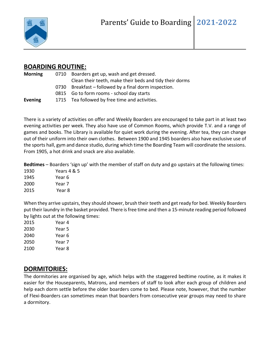

## **BOARDING ROUTINE:**

| 0710 Boarders get up, wash and get dressed.             |
|---------------------------------------------------------|
| Clean their teeth, make their beds and tidy their dorms |
| 0730 Breakfast – followed by a final dorm inspection.   |
| 0815 Go to form rooms - school day starts               |
| 1715 Tea followed by free time and activities.          |
|                                                         |

There is a variety of activities on offer and Weekly Boarders are encouraged to take part in at least two evening activities per week. They also have use of Common Rooms, which provide T.V. and a range of games and books. The Library is available for quiet work during the evening. After tea, they can change out of their uniform into their own clothes. Between 1900 and 1945 boarders also have exclusive use of the sports hall, gym and dance studio, during which time the Boarding Team will coordinate the sessions. From 1905, a hot drink and snack are also available.

**Bedtimes** – Boarders 'sign up' with the member of staff on duty and go upstairs at the following times:

| 1930 | Years 4 & 5 |
|------|-------------|
| 1945 | Year 6      |
| 2000 | Year 7      |
| 2015 | Year 8      |

When they arrive upstairs, they should shower, brush their teeth and get ready for bed. Weekly Boarders put their laundry in the basket provided. There is free time and then a 15-minute reading period followed by lights out at the following times:

| 2015 | Year 4 |
|------|--------|
| 2030 | Year 5 |
| 2040 | Year 6 |
| 2050 | Year 7 |
| 2100 | Year 8 |

# **DORMITORIES:**

The dormitories are organised by age, which helps with the staggered bedtime routine, as it makes it easier for the Houseparents, Matrons, and members of staff to look after each group of children and help each dorm settle before the older boarders come to bed. Please note, however, that the number of Flexi-Boarders can sometimes mean that boarders from consecutive year groups may need to share a dormitory.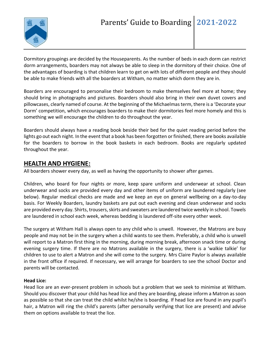

Dormitory groupings are decided by the Houseparents. As the number of beds in each dorm can restrict dorm arrangements, boarders may not always be able to sleep in the dormitory of their choice. One of the advantages of boarding is that children learn to get on with lots of different people and they should be able to make friends with all the boarders at Witham, no matter which dorm they are in.

Boarders are encouraged to personalise their bedroom to make themselves feel more at home; they should bring in photographs and pictures. Boarders should also bring in their own duvet covers and pillowcases, clearly named of course. At the beginning of the Michaelmas term, there is a 'Decorate your Dorm' competition, which encourages boarders to make their dormitories feel more homely and this is something we will encourage the children to do throughout the year.

Boarders should always have a reading book beside their bed for the quiet reading period before the lights go out each night. In the event that a book has been forgotten or finished, there are books available for the boarders to borrow in the book baskets in each bedroom. Books are regularly updated throughout the year.

#### **HEALTH AND HYGIENE:**

All boarders shower every day, as well as having the opportunity to shower after games.

Children, who board for four nights or more, keep spare uniform and underwear at school. Clean underwear and socks are provided every day and other items of uniform are laundered regularly (see below). Regular medical checks are made and we keep an eye on general wellbeing on a day-to-day basis. For Weekly Boarders, laundry baskets are put out each evening and clean underwear and socks are provided every day. Shirts, trousers, skirts and sweaters are laundered twice weekly in school. Towels are laundered in school each week, whereas bedding is laundered off-site every other week.

The surgery at Witham Hall is always open to any child who is unwell. However, the Matrons are busy people and may not be in the surgery when a child wants to see them. Preferably, a child who is unwell will report to a Matron first thing in the morning, during morning break, afternoon snack time or during evening surgery time. If there are no Matrons available in the surgery, there is a 'walkie talkie' for children to use to alert a Matron and she will come to the surgery. Mrs Claire Paylor is always available in the front office if required. If necessary, we will arrange for boarders to see the school Doctor and parents will be contacted.

#### **Head Lice:**

Head lice are an ever-present problem in schools but a problem that we seek to minimise at Witham. Should you discover that your child has head lice and they are boarding, please inform a Matron as soon as possible so that she can treat the child whilst he/she is boarding. If head lice are found in any pupil's hair, a Matron will ring the child's parents (after personally verifying that lice are present) and advise them on options available to treat the lice.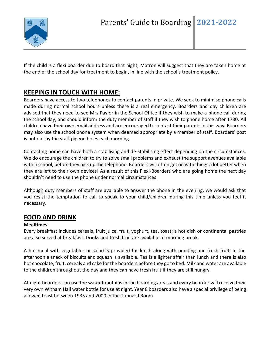

If the child is a flexi boarder due to board that night, Matron will suggest that they are taken home at the end of the school day for treatment to begin, in line with the school's treatment policy.

# **KEEPING IN TOUCH WITH HOME:**

Boarders have access to two telephones to contact parents in private. We seek to minimise phone calls made during normal school hours unless there is a real emergency. Boarders and day children are advised that they need to see Mrs Paylor in the School Office if they wish to make a phone call during the school day, and should inform the duty member of staff if they wish to phone home after 1730. All children have their own email address and are encouraged to contact their parents in this way. Boarders may also use the school phone system when deemed appropriate by a member of staff. Boarders' post is put out by the staff pigeon holes each morning.

Contacting home can have both a stabilising and de-stabilising effect depending on the circumstances. We do encourage the children to try to solve small problems and exhaust the support avenues available within school, before they pick up the telephone. Boarders will often get on with things a lot better when they are left to their own devices! As a result of this Flexi-Boarders who are going home the next day shouldn't need to use the phone under normal circumstances.

Although duty members of staff are available to answer the phone in the evening, we would ask that you resist the temptation to call to speak to your child/children during this time unless you feel it necessary.

## **FOOD AND DRINK**

#### **Mealtimes:**

Every breakfast includes cereals, fruit juice, fruit, yoghurt, tea, toast; a hot dish or continental pastries are also served at breakfast. Drinks and fresh fruit are available at morning break.

A hot meal with vegetables or salad is provided for lunch along with pudding and fresh fruit. In the afternoon a snack of biscuits and squash is available. Tea is a lighter affair than lunch and there is also hot chocolate, fruit, cereals and cake for the boarders before they go to bed. Milk and water are available to the children throughout the day and they can have fresh fruit if they are still hungry.

At night boarders can use the water fountains in the boarding areas and every boarder will receive their very own Witham Hall water bottle for use at night. Year 8 boarders also have a special privilege of being allowed toast between 1935 and 2000 in the Tunnard Room.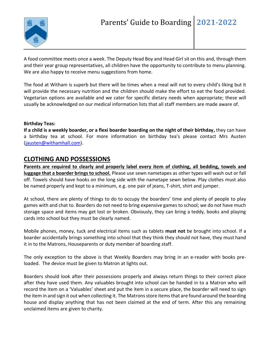

A food committee meets once a week. The Deputy Head Boy and Head Girl sit on this and, through them and their year group representatives, all children have the opportunity to contribute to menu planning. We are also happy to receive menu suggestions from home.

The food at Witham is superb but there will be times when a meal will not to every child's liking but it will provide the necessary nutrition and the children should make the effort to eat the food provided. Vegetarian options are available and we cater for specific dietary needs when appropriate; these will usually be acknowledged on our medical information lists that all staff members are made aware of.

#### **Birthday Teas:**

**If a child is a weekly boarder, or a flexi boarder boarding on the night of their birthday,** they can have a birthday tea at school. For more information on birthday tea's please contact Mrs Austen [\(jausten@withamhall.com\)](mailto:jausten@withamhall.com).

#### **CLOTHING AND POSSESSIONS**

**Parents are required to clearly and properly label every item of clothing, all bedding, towels and luggage that a boarder brings to school.** Please use sewn nametapes as other types will wash out or fall off. Towels should have hooks on the long side with the nametape sewn below. Play clothes must also be named properly and kept to a minimum, e.g. one pair of jeans, T-shirt, shirt and jumper.

At school, there are plenty of things to do to occupy the boarders' time and plenty of people to play games with and chat to. Boarders do not need to bring expensive games to school; we do not have much storage space and items may get lost or broken. Obviously, they can bring a teddy, books and playing cards into school but they must be clearly named.

Mobile phones, money, tuck and electrical items such as tablets **must not** be brought into school. If a boarder accidentally brings something into school that they think they should not have, they must hand it in to the Matrons, Houseparents or duty member of boarding staff.

The only exception to the above is that Weekly Boarders may bring in an e-reader with books preloaded. The device must be given to Matron at lights out.

Boarders should look after their possessions properly and always return things to their correct place after they have used them. Any valuables brought into school can be handed in to a Matron who will record the item on a 'Valuables' sheet and put the item in a secure place, the boarder will need to sign the item in and sign it out when collecting it. The Matrons store items that are found around the boarding house and display anything that has not been claimed at the end of term. After this any remaining unclaimed items are given to charity.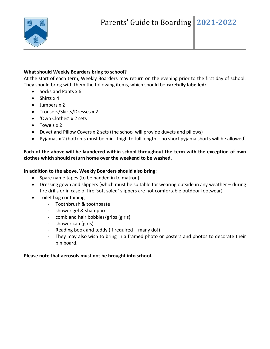

#### **What should Weekly Boarders bring to school?**

At the start of each term, Weekly Boarders may return on the evening prior to the first day of school. They should bring with them the following items, which should be **carefully labelled:**

- Socks and Pants x 6
- Shirts x 4
- Jumpers x 2
- Trousers/Skirts/Dresses x 2
- 'Own Clothes' x 2 sets
- Towels x 2
- Duvet and Pillow Covers x 2 sets (the school will provide duvets and pillows)
- Pyjamas x 2 (bottoms must be mid- thigh to full length no short pyjama shorts will be allowed)

#### **Each of the above will be laundered within school throughout the term with the exception of own clothes which should return home over the weekend to be washed.**

#### **In addition to the above, Weekly Boarders should also bring:**

- Spare name tapes (to be handed in to matron)
- Dressing gown and slippers (which must be suitable for wearing outside in any weather during fire drills or in case of fire 'soft soled' slippers are not comfortable outdoor footwear)
- Toilet bag containing
	- Toothbrush & toothpaste
	- shower gel & shampoo
	- comb and hair bobbles/grips (girls)
	- shower cap (girls)
	- Reading book and teddy (if required many do!)
	- They may also wish to bring in a framed photo or posters and photos to decorate their pin board.

#### **Please note that aerosols must not be brought into school.**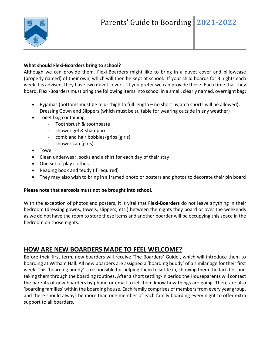

#### **What should Flexi-Boarders bring to school?**

Although we can provide them, Flexi-Boarders might like to bring in a duvet cover and pillowcase (properly named) of their own, which will then be kept at school. If your child boards for 3 nights each week it is advised, they have two duvet covers. If you prefer we can provide these. Each time that they board, Flexi-Boarders must bring the following items into school in a small, clearly named, overnight bag:

- Pyjamas (bottoms must be mid- thigh to full length no short pyjama shorts will be allowed), Dressing Gown and Slippers (which must be suitable for wearing outside in any weather)
- Toilet bag containing
	- Toothbrush & toothpaste
	- shower gel & shampoo
	- comb and hair bobbles/grips (girls)
	- shower cap (girls)
- Towel
- Clean underwear, socks and a shirt for each day of their stay
- One set of play clothes
- Reading book and teddy (if required)
- They may also wish to bring in a framed photo or posters and photos to decorate their pin board

#### **Please note that aerosols must not be brought into school.**

With the exception of photos and posters, it is vital that **Flexi-Boarders** do not leave anything in their bedroom (dressing gowns, towels, slippers, etc.) between the nights they board or over the weekends as we do not have the room to store these items and another boarder will be occupying this space in the bedroom on those nights.

# **HOW ARE NEW BOARDERS MADE TO FEEL WELCOME?**

Before their first term, new boarders will receive 'The Boarders' Guide', which will introduce them to boarding at Witham Hall. All new boarders are assigned a 'boarding buddy' of a similar age for their first week. This 'boarding buddy' is responsible for helping them to settle in, showing them the facilities and taking them through the boarding routines. After a short settling-in period the Houseparents will contact the parents of new boarders by phone or email to let them know how things are going. There are also 'boarding families' within the boarding house. Each family comprises of members from every year group, and there should always be more than one member of each family boarding every night to offer extra support to all boarders.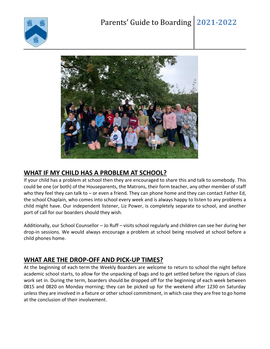



# **WHAT IF MY CHILD HAS A PROBLEM AT SCHOOL?**

If your child has a problem at school then they are encouraged to share this and talk to somebody. This could be one (or both) of the Houseparents, the Matrons, their form teacher, any other member of staff who they feel they can talk to – or even a friend. They can phone home and they can contact Father Ed, the school Chaplain, who comes into school every week and is always happy to listen to any problems a child might have. Our independent listener, Liz Power, is completely separate to school, and another port of call for our boarders should they wish.

Additionally, our School Counsellor – Jo Ruff – visits school regularly and children can see her during her drop-in sessions. We would always encourage a problem at school being resolved at school before a child phones home.

# **WHAT ARE THE DROP-OFF AND PICK-UP TIMES?**

At the beginning of each term the Weekly Boarders are welcome to return to school the night before academic school starts, to allow for the unpacking of bags and to get settled before the rigours of class work set in. During the term, boarders should be dropped off for the beginning of each week between 0815 and 0820 on Monday morning; they can be picked up for the weekend after 1230 on Saturday unless they are involved in a fixture or other school commitment, in which case they are free to go home at the conclusion of their involvement.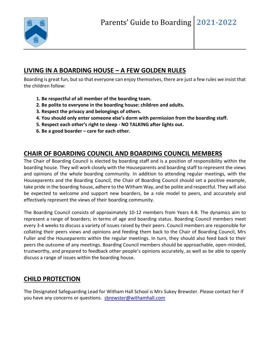

# **LIVING IN A BOARDING HOUSE – A FEW GOLDEN RULES**

Boarding is great fun, but so that everyone can enjoy themselves, there are just a few rules we insist that the children follow:

- **1. Be respectful of all member of the boarding team.**
- **2. Be polite to everyone in the boarding house: children and adults.**
- **3. Respect the privacy and belongings of others.**
- **4. You should only enter someone else's dorm with permission from the boarding staff.**
- **5. Respect each other's right to sleep - NO TALKING after lights out.**
- **6. Be a good boarder – care for each other.**

## **CHAIR OF BOARDING COUNCIL AND BOARDING COUNCIL MEMBERS**

The Chair of Boarding Council is elected by boarding staff and is a position of responsibility within the boarding house. They will work closely with the Houseparents and boarding staff to represent the views and opinions of the whole boarding community. In addition to attending regular meetings, with the Houseparents and the Boarding Council, the Chair of Boarding Council should set a positive example, take pride in the boarding house, adhere to the Witham Way, and be polite and respectful. They will also be expected to welcome and support new boarders, be a role model to peers, and accurately and effectively represent the views of their boarding community.

The Boarding Council consists of approximately 10-12 members from Years 4-8. The dynamics aim to represent a range of boarders; in terms of age and boarding status. Boarding Council members meet every 3-4 weeks to discuss a variety of issues raised by their peers. Council members are responsible for collating their peers views and opinions and feeding them back to the Chair of Boarding Council, Mrs Fuller and the Houseparents within the regular meetings. In turn, they should also feed back to their peers the outcome of any meetings. Boarding Council members should be approachable, open-minded, trustworthy, and prepared to feedback other people's opinions accurately, as well as be able to openly discuss a range of issues within the boarding house.

# **CHILD PROTECTION**

The Designated Safeguarding Lead for Witham Hall School is Mrs Sukey Brewster. Please contact her if you have any concerns or questions. shrewster@withamhall.com